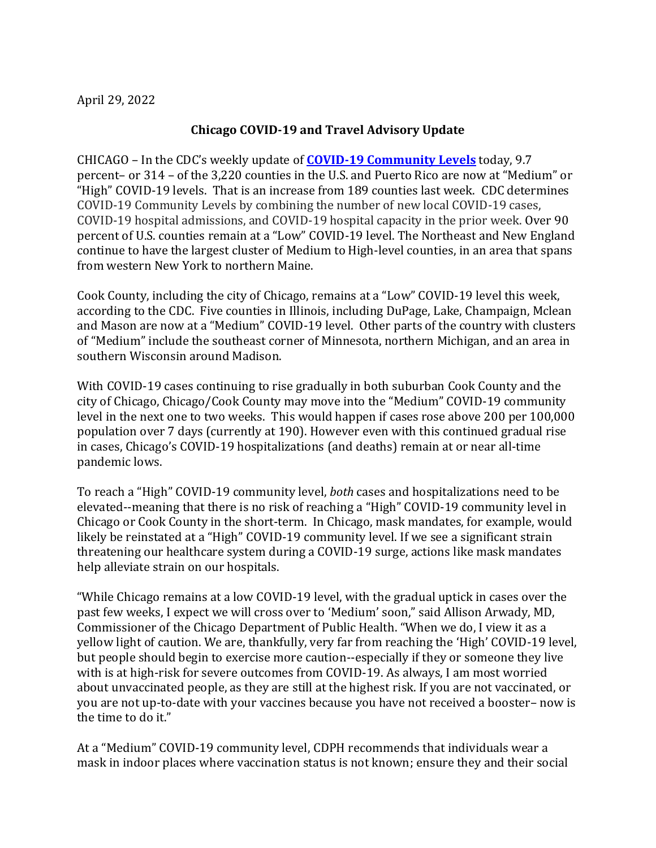April 29, 2022

## **Chicago COVID-19 and Travel Advisory Update**

CHICAGO – In the CDC's weekly update of **[COVID-19 Community Levels](https://www.cdc.gov/coronavirus/2019-ncov/your-health/covid-by-county.html?CDC_AA_refVal=https%3A%2F%2Fwww.cdc.gov%2Fcoronavirus%2F2019-ncov%2Fscience%2Fcommunity-levels-county-map.html)** today, 9.7 percent– or 314 – of the 3,220 counties in the U.S. and Puerto Rico are now at "Medium" or "High" COVID-19 levels. That is an increase from 189 counties last week. CDC determines COVID-19 Community Levels by combining the number of new local COVID-19 cases, COVID-19 hospital admissions, and COVID-19 hospital capacity in the prior week. Over 90 percent of U.S. counties remain at a "Low" COVID-19 level. The Northeast and New England continue to have the largest cluster of Medium to High-level counties, in an area that spans from western New York to northern Maine.

Cook County, including the city of Chicago, remains at a "Low" COVID-19 level this week, according to the CDC. Five counties in Illinois, including DuPage, Lake, Champaign, Mclean and Mason are now at a "Medium" COVID-19 level. Other parts of the country with clusters of "Medium" include the southeast corner of Minnesota, northern Michigan, and an area in southern Wisconsin around Madison.

With COVID-19 cases continuing to rise gradually in both suburban Cook County and the city of Chicago, Chicago/Cook County may move into the "Medium" COVID-19 community level in the next one to two weeks. This would happen if cases rose above 200 per 100,000 population over 7 days (currently at 190). However even with this continued gradual rise in cases, Chicago's COVID-19 hospitalizations (and deaths) remain at or near all-time pandemic lows.

To reach a "High" COVID-19 community level, *both* cases and hospitalizations need to be elevated--meaning that there is no risk of reaching a "High" COVID-19 community level in Chicago or Cook County in the short-term. In Chicago, mask mandates, for example, would likely be reinstated at a "High" COVID-19 community level. If we see a significant strain threatening our healthcare system during a COVID-19 surge, actions like mask mandates help alleviate strain on our hospitals.

"While Chicago remains at a low COVID-19 level, with the gradual uptick in cases over the past few weeks, I expect we will cross over to 'Medium' soon," said Allison Arwady, MD, Commissioner of the Chicago Department of Public Health. "When we do, I view it as a yellow light of caution. We are, thankfully, very far from reaching the 'High' COVID-19 level, but people should begin to exercise more caution--especially if they or someone they live with is at high-risk for severe outcomes from COVID-19. As always, I am most worried about unvaccinated people, as they are still at the highest risk. If you are not vaccinated, or you are not up-to-date with your vaccines because you have not received a booster– now is the time to do it."

At a "Medium" COVID-19 community level, CDPH recommends that individuals wear a mask in indoor places where vaccination status is not known; ensure they and their social